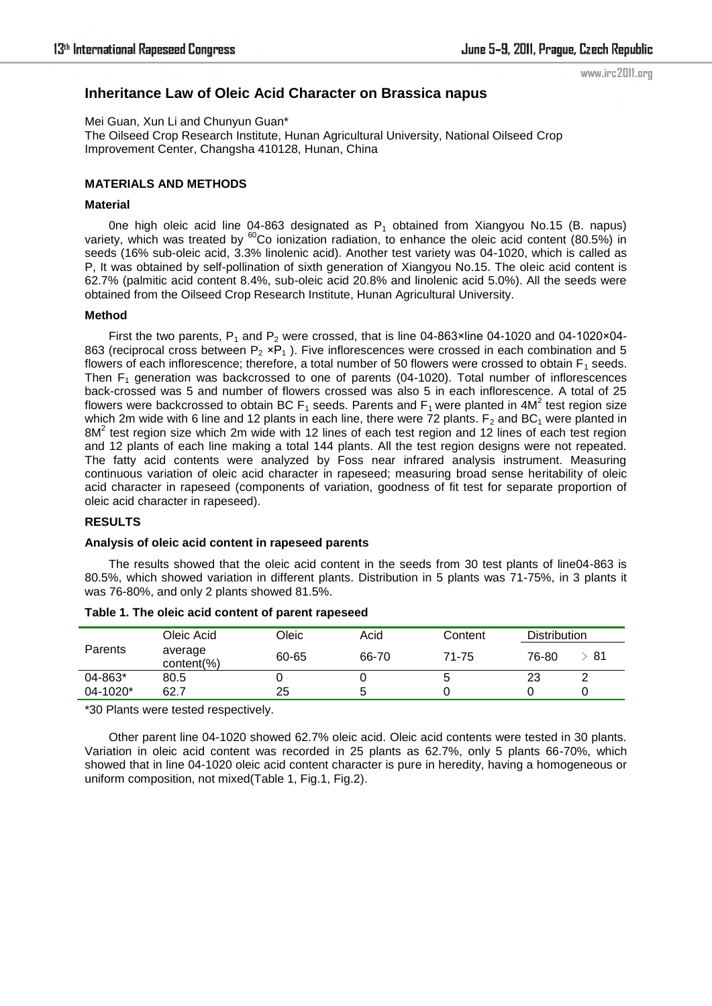www.irc2011.org

# **Inheritance Law of Oleic Acid Character on Brassica napus**

Mei Guan, Xun Li and Chunyun Guan\*

The Oilseed Crop Research Institute, Hunan Agricultural University, National Oilseed Crop Improvement Center, Changsha 410128, Hunan, China

### **MATERIALS AND METHODS**

#### **Material**

One high oleic acid line 04-863 designated as  $P_1$  obtained from Xiangyou No.15 (B. napus) variety, which was treated by  ${}^{60}$ Co ionization radiation, to enhance the oleic acid content (80.5%) in seeds (16% sub-oleic acid, 3.3% linolenic acid). Another test variety was 04-1020, which is called as P, It was obtained by self-pollination of sixth generation of Xiangyou No.15. The oleic acid content is 62.7% (palmitic acid content 8.4%, sub-oleic acid 20.8% and linolenic acid 5.0%). All the seeds were obtained from the Oilseed Crop Research Institute, Hunan Agricultural University.

#### **Method**

First the two parents,  $P_1$  and  $P_2$  were crossed, that is line 04-863×line 04-1020 and 04-1020×04-863 (reciprocal cross between  $P_2$  ×P<sub>1</sub>). Five inflorescences were crossed in each combination and 5 flowers of each inflorescence; therefore, a total number of 50 flowers were crossed to obtain  $F_1$  seeds. Then  $F_1$  generation was backcrossed to one of parents (04-1020). Total number of inflorescences back-crossed was 5 and number of flowers crossed was also 5 in each inflorescence. A total of 25 flowers were backcrossed to obtain BC F<sub>1</sub> seeds. Parents and F<sub>1</sub> were planted in 4M<sup>2</sup> test region size which 2m wide with 6 line and 12 plants in each line, there were 72 plants.  $F<sub>2</sub>$  and BC<sub>1</sub> were planted in  $8M<sup>2</sup>$  test region size which 2m wide with 12 lines of each test region and 12 lines of each test region and 12 plants of each line making a total 144 plants. All the test region designs were not repeated. The fatty acid contents were analyzed by Foss near infrared analysis instrument. Measuring continuous variation of oleic acid character in rapeseed; measuring broad sense heritability of oleic acid character in rapeseed (components of variation, goodness of fit test for separate proportion of oleic acid character in rapeseed).

### **RESULTS**

### **Analysis of oleic acid content in rapeseed parents**

The results showed that the oleic acid content in the seeds from 30 test plants of line04-863 is 80.5%, which showed variation in different plants. Distribution in 5 plants was 71-75%, in 3 plants it was 76-80%, and only 2 plants showed 81.5%.

|                | Oleic Acid                | Oleic | Acid  | Content | <b>Distribution</b> |    |
|----------------|---------------------------|-------|-------|---------|---------------------|----|
| <b>Parents</b> | average<br>$content(\% )$ | 60-65 | 66-70 | 71-75   | 76-80               | 81 |
| 04-863*        | 80.5                      |       |       | э       | 23                  |    |
| 04-1020*       | 62.7                      | 25    |       |         |                     |    |

#### **Table 1. The oleic acid content of parent rapeseed**

\*30 Plants were tested respectively.

Other parent line 04-1020 showed 62.7% oleic acid. Oleic acid contents were tested in 30 plants. Variation in oleic acid content was recorded in 25 plants as 62.7%, only 5 plants 66-70%, which showed that in line 04-1020 oleic acid content character is pure in heredity, having a homogeneous or uniform composition, not mixed(Table 1, Fig.1, Fig.2).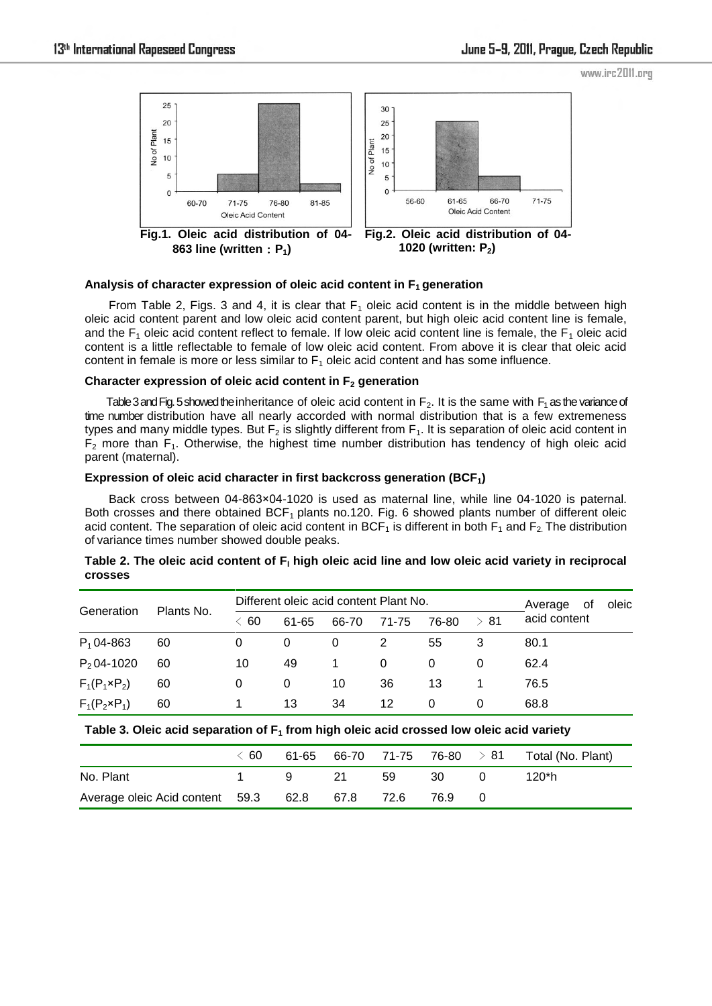www.irc2011.org



**863 line (written**:**P1)**

**1020 (written: P2)**

## **Analysis of character expression of oleic acid content in F1 generation**

From Table 2, Figs. 3 and 4, it is clear that  $F_1$  oleic acid content is in the middle between high oleic acid content parent and low oleic acid content parent, but high oleic acid content line is female, and the  $F_1$  oleic acid content reflect to female. If low oleic acid content line is female, the  $F_1$  oleic acid content is a little reflectable to female of low oleic acid content. From above it is clear that oleic acid content in female is more or less similar to  $F_1$  oleic acid content and has some influence.

## **Character expression of oleic acid content in F2 generation**

Table 3 and Fig. 5 showed the inheritance of oleic acid content in  $F_2$ . It is the same with  $F_1$  as the variance of time number distribution have all nearly accorded with normal distribution that is a few extremeness types and many middle types. But  $F_2$  is slightly different from  $F_1$ . It is separation of oleic acid content in  $F_2$  more than  $F_1$ . Otherwise, the highest time number distribution has tendency of high oleic acid parent (maternal).

## **Expression of oleic acid character in first backcross generation (BCF1)**

Back cross between 04-863×04-1020 is used as maternal line, while line 04-1020 is paternal. Both crosses and there obtained BCF<sub>1</sub> plants no.120. Fig. 6 showed plants number of different oleic acid content. The separation of oleic acid content in BCF<sub>1</sub> is different in both  $F_1$  and  $F_2$ . The distribution of variance times number showed double peaks.

| Generation            | Plants No. | Different oleic acid content Plant No. |       |       |          |       |           | Average<br>0f | oleic |
|-----------------------|------------|----------------------------------------|-------|-------|----------|-------|-----------|---------------|-------|
|                       |            | $\leq 60$                              | 61-65 | 66-70 | 71-75    | 76-80 | $\geq 81$ | acid content  |       |
| $P_1$ 04-863          | 60         | 0                                      | 0     | 0     | 2        | 55    | 3         | 80.1          |       |
| $P_2$ 04-1020         | 60         | 10                                     | 49    |       | $\Omega$ | 0     | 0         | 62.4          |       |
| $F_1(P_1 \times P_2)$ | 60         | 0                                      | 0     | 10    | 36       | 13    |           | 76.5          |       |
| $F_1(P_2 \times P_1)$ | 60         |                                        | 13    | 34    | 12       | 0     | 0         | 68.8          |       |

## Table 2. The oleic acid content of F<sub>I</sub> high oleic acid line and low oleic acid variety in reciprocal **crosses**

## **Table 3. Oleic acid separation of F1 from high oleic acid crossed low oleic acid variety**

|                                                     | $\langle 60 \rangle$ |   |    |     |    | 61-65 66-70 71-75 76-80 $> 81$ Total (No. Plant) |
|-----------------------------------------------------|----------------------|---|----|-----|----|--------------------------------------------------|
| No. Plant                                           |                      | 9 | 21 | .59 | 30 | 120*h                                            |
| Average oleic Acid content 59.3 62.8 67.8 72.6 76.9 |                      |   |    |     |    |                                                  |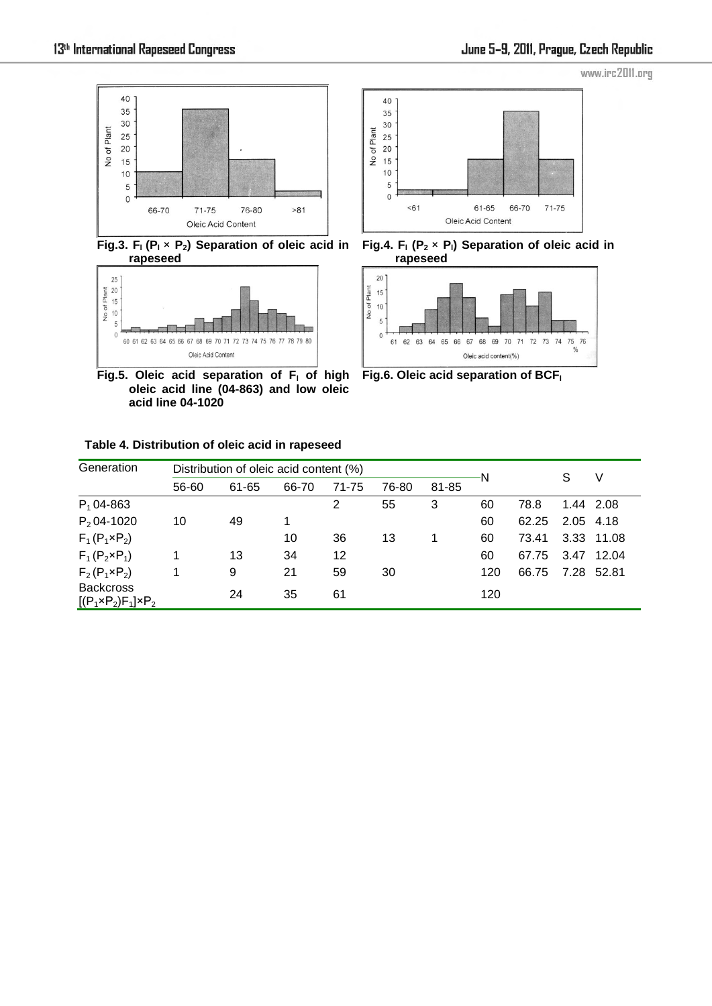

**Fig.3. F<sup>l</sup> (P<sup>l</sup>** × **P2) Separation of oleic acid in rapeseed**



**Fig.5. Oleic acid separation of F<sup>l</sup> of high oleic acid line (04-863) and low oleic acid line 04-1020**

**Table 4. Distribution of oleic acid in rapeseed** 



**Fig.4. F<sup>l</sup> (P<sup>2</sup>** × **Pl) Separation of oleic acid in rapeseed**



**Fig.6. Oleic acid separation of BCF<sup>l</sup>**

| Generation                                             |       | Distribution of oleic acid content (%) |       |       |       |       |     | S     | V         |            |
|--------------------------------------------------------|-------|----------------------------------------|-------|-------|-------|-------|-----|-------|-----------|------------|
|                                                        | 56-60 | 61-65                                  | 66-70 | 71-75 | 76-80 | 81-85 | N   |       |           |            |
| $P_1$ 04-863                                           |       |                                        |       | 2     | 55    | 3     | 60  | 78.8  |           | 1.44 2.08  |
| $P_2$ 04-1020                                          | 10    | 49                                     | 1     |       |       |       | 60  | 62.25 | 2.05 4.18 |            |
| $F_1(P_1 \times P_2)$                                  |       |                                        | 10    | 36    | 13    |       | 60  | 73.41 |           | 3.33 11.08 |
| $F_1(P_2 \times P_1)$                                  |       | 13                                     | 34    | 12    |       |       | 60  | 67.75 |           | 3.47 12.04 |
| $F_2(P_1 \times P_2)$                                  |       | 9                                      | 21    | 59    | 30    |       | 120 | 66.75 |           | 7.28 52.81 |
| <b>Backcross</b><br>$[(P_1 \times P_2)F_1] \times P_2$ |       | 24                                     | 35    | 61    |       |       | 120 |       |           |            |

www.irc2011.org